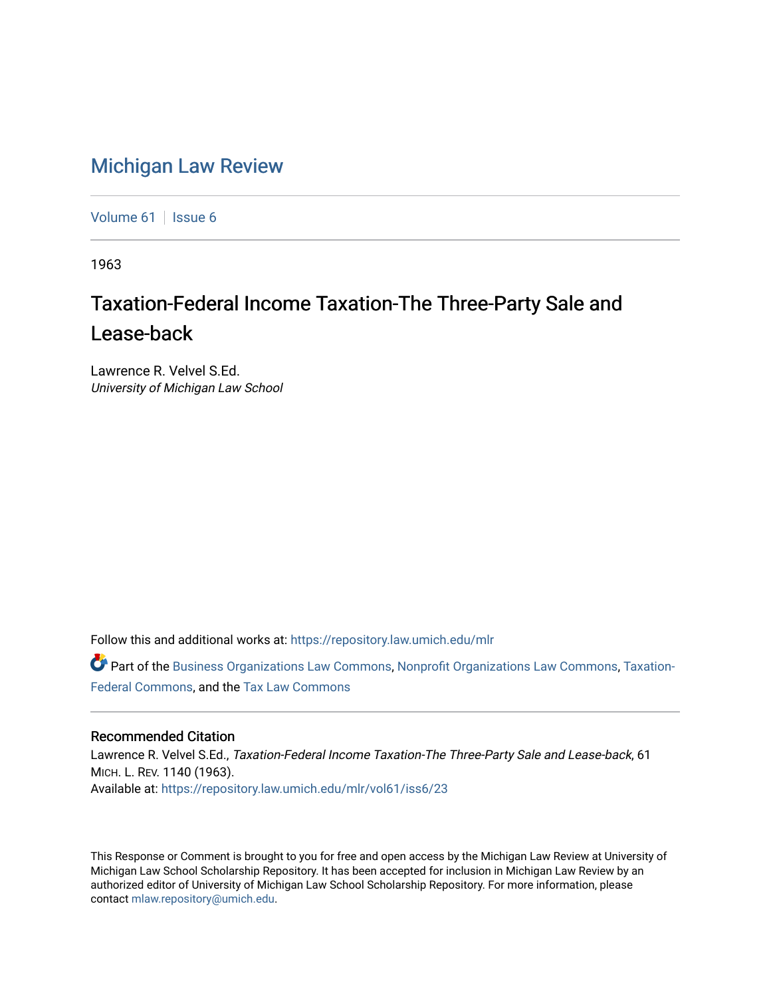## [Michigan Law Review](https://repository.law.umich.edu/mlr)

[Volume 61](https://repository.law.umich.edu/mlr/vol61) | [Issue 6](https://repository.law.umich.edu/mlr/vol61/iss6)

1963

# Taxation-Federal Income Taxation-The Three-Party Sale and Lease-back

Lawrence R. Velvel S.Ed. University of Michigan Law School

Follow this and additional works at: [https://repository.law.umich.edu/mlr](https://repository.law.umich.edu/mlr?utm_source=repository.law.umich.edu%2Fmlr%2Fvol61%2Fiss6%2F23&utm_medium=PDF&utm_campaign=PDFCoverPages) 

Part of the [Business Organizations Law Commons](http://network.bepress.com/hgg/discipline/900?utm_source=repository.law.umich.edu%2Fmlr%2Fvol61%2Fiss6%2F23&utm_medium=PDF&utm_campaign=PDFCoverPages), [Nonprofit Organizations Law Commons,](http://network.bepress.com/hgg/discipline/1349?utm_source=repository.law.umich.edu%2Fmlr%2Fvol61%2Fiss6%2F23&utm_medium=PDF&utm_campaign=PDFCoverPages) [Taxation-](http://network.bepress.com/hgg/discipline/881?utm_source=repository.law.umich.edu%2Fmlr%2Fvol61%2Fiss6%2F23&utm_medium=PDF&utm_campaign=PDFCoverPages)[Federal Commons](http://network.bepress.com/hgg/discipline/881?utm_source=repository.law.umich.edu%2Fmlr%2Fvol61%2Fiss6%2F23&utm_medium=PDF&utm_campaign=PDFCoverPages), and the [Tax Law Commons](http://network.bepress.com/hgg/discipline/898?utm_source=repository.law.umich.edu%2Fmlr%2Fvol61%2Fiss6%2F23&utm_medium=PDF&utm_campaign=PDFCoverPages) 

#### Recommended Citation

Lawrence R. Velvel S.Ed., Taxation-Federal Income Taxation-The Three-Party Sale and Lease-back, 61 MICH. L. REV. 1140 (1963). Available at: [https://repository.law.umich.edu/mlr/vol61/iss6/23](https://repository.law.umich.edu/mlr/vol61/iss6/23?utm_source=repository.law.umich.edu%2Fmlr%2Fvol61%2Fiss6%2F23&utm_medium=PDF&utm_campaign=PDFCoverPages) 

This Response or Comment is brought to you for free and open access by the Michigan Law Review at University of Michigan Law School Scholarship Repository. It has been accepted for inclusion in Michigan Law Review by an authorized editor of University of Michigan Law School Scholarship Repository. For more information, please contact [mlaw.repository@umich.edu](mailto:mlaw.repository@umich.edu).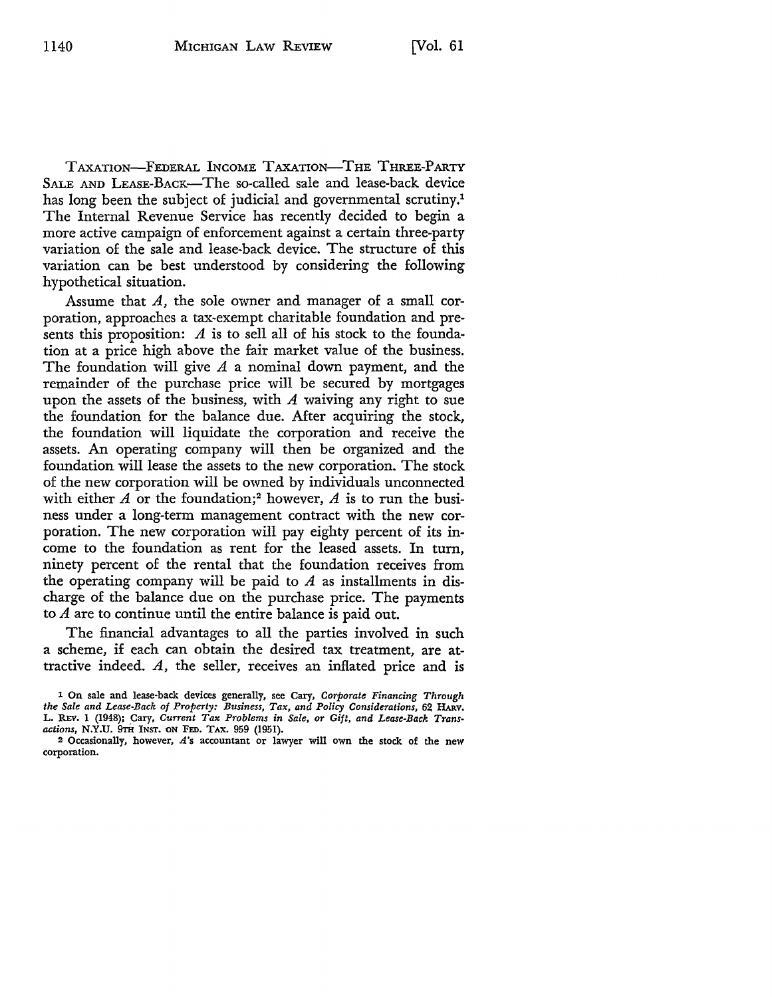TAXATION-FEDERAL INCOME TAXATION-THE THREE-PARTY SALE AND LEASE-BACK-The so-called sale and lease-back device has long been the subject of judicial and governmental scrutiny.<sup>1</sup> The Internal Revenue Service has recently decided to begin a more active campaign of enforcement against a certain three-party variation of the sale and lease-back device. The structure of this variation can be best understood by considering the following hypothetical situation.

Assume that  $\Lambda$ , the sole owner and manager of a small corporation, approaches a tax-exempt charitable foundation and presents this proposition:  $A$  is to sell all of his stock to the foundation at a price high above the fair market value of the business. The foundation will give  $A$  a nominal down payment, and the remainder of the purchase price will be secured by mortgages upon the assets of the business, with  $A$  waiving any right to sue the foundation for the balance due. After acquiring the stock, the foundation will liquidate the corporation and receive the assets. An operating company will then be organized and the foundation will lease the assets to the new corporation. The stock of the new corporation will be owned by individuals unconnected with either  $A$  or the foundation;<sup>2</sup> however,  $A$  is to run the business under a long-term management contract with the new corporation. The new corporation will pay eighty percent of its income to the foundation as rent for the leased assets. In turn, ninety percent of the rental that the foundation receives from the operating company will be paid to  $A$  as installments in discharge of the balance due on the purchase price. The payments to A are to continue until the entire balance is paid out.

The financial advantages to all the parties involved in such a scheme, if each can obtain the desired tax treatment, are attractive indeed. A, the seller, receives an inflated price and is

l On sale and lease-back devices generally, see Cary, *Corporate Financing Through the Sale and Lease-Back of Property: Business, Tax, and Policy Considerations,* 62 HARv. L. REY. 1 (1948); Cary, *Current Tax Problems in Sale, or Gift, and Lease-Back Transactions, N.Y.U. 9TH INST. ON FED. TAX. 959 (1951).* 

<sup>2</sup>Occasionally, however, A's accountant or lawyer will own the stock of the new corporation.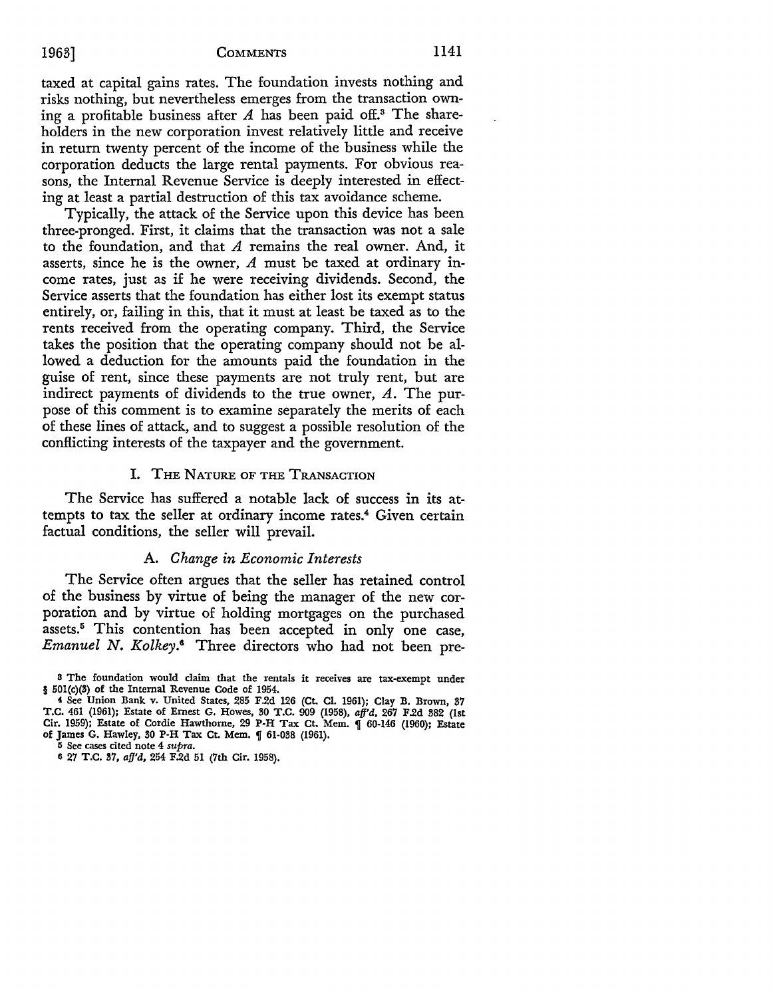taxed at capital gains rates. The foundation invests nothing and risks nothing, but nevertheless emerges from the transaction owning a profitable business after A has been paid off.<sup>3</sup> The shareholders in the new corporation invest relatively little and receive in return twenty percent of the income of the business while the corporation deducts the large rental payments. For obvious reasons, the Internal Revenue Service is deeply interested in effecting at least a partial destruction of this tax avoidance scheme.

Typically, the attack of the Service upon this device has been three-pronged. First, it claims that the transaction was not a sale to the foundation, and that  $A$  remains the real owner. And, it asserts, since he is the owner,  $A$  must be taxed at ordinary income rates, just as if he were receiving dividends. Second, the Service asserts that the foundation has either lost its exempt status entirely, or, failing in this, that it must at least be taxed as to the rents received from the operating company. Third, the Service takes the position that the operating company should not be allowed a deduction for the amounts paid the foundation in the guise of rent, since these payments are not truly rent, but are indirect payments of dividends to the true owner,  $A$ . The purpose of this comment is to examine separately the merits of each of these lines of attack, and to suggest a possible resolution of the conflicting interests of the taxpayer and the government.

#### l. THE NATURE OF THE TRANSACTION

The Service has suffered a notable lack of success in its attempts to tax the seller at ordinary income rates.4 Given certain factual conditions, the seller will prevail.

#### A. *Change in Economic Interests*

The Service often argues that the seller has retained control of the business by virtue of being the manager of the new corporation and by virtue of holding mortgages on the purchased assets. $5$  This contention has been accepted in only one case, *Emanuel N. Kolkey.6* Three directors who had not been pre-

<sup>3</sup>The foundation would claim that the rentals it receives are tax-exempt under § 501(c)(3) of the Internal Revenue Code of 1954.

<sup>4</sup> See Union Bank v. United States, 285 F.2d 126 (Ct. Cl. 1961); Clay B. Brown, 37 T.C. 461 (1961); Estate of Ernest G. Howes, 30 T.C. 909 (1958), *aff'd*, 267 F.2d 382 (1st Cir. 1959); Estate of Cordie Hawthorne, 29 P-H Tax Ct. Mem.  $\oint$  60-146 (1960); Estate of James G. Hawley, 30 P-H Tax Ct. Mem. ¶ 61-038 (1961).

<sup>5</sup> See cases cited note 4 *supra.* 

<sup>6</sup> 27 T.C. !17, *afl'd,* 254 F.2d 51 (7th Cir. 1958).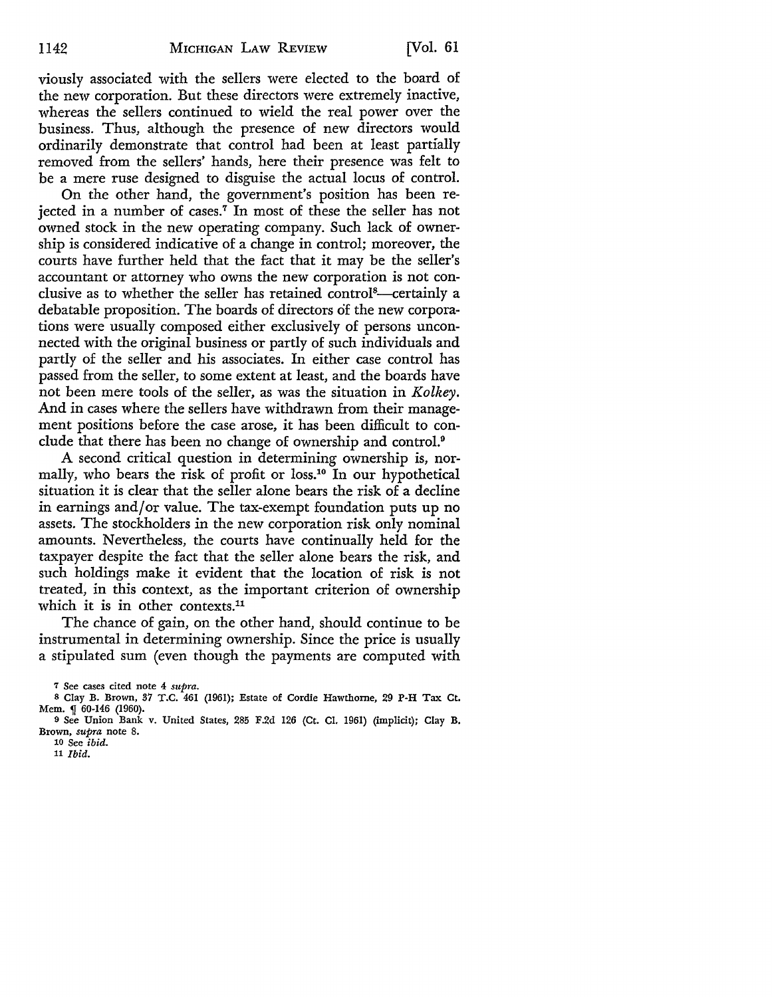viously associated with the sellers were elected to the board of the new corporation. But these directors were extremely inactive, whereas the sellers continued to wield the real power over the business. Thus, although the presence of new directors would ordinarily demonstrate that control had been at least partially removed from the sellers' hands, here their presence was felt to be a mere ruse designed to disguise the actual locus of control.

On the other hand, the government's position has been rejected in a number of cases.<sup>7</sup> In most of these the seller has not owned stock in the new operating company. Such lack of ownership is considered indicative of a change in control; moreover, the courts have further held that the fact that it may be the seller's accountant or attorney who owns the new corporation is not conclusive as to whether the seller has retained control<sup>8</sup>—certainly a debatable proposition. The boards of directors of the new corporations were usually composed either exclusively of persons unconnected with the original business or partly of such individuals and partly of the seller and his associates. In either case control has passed from the seller, to some extent at least, and the boards have not been mere tools of the seller, as was the situation in *Kolkey.*  And in cases where the sellers have withdrawn from their management positions before the case arose, it has been difficult to conclude that there has been no change of ownership and control.<sup>9</sup>

A second critical question in determining ownership is, normally, who bears the risk of profit or loss.10 In our hypothetical situation it is clear that the seller alone bears the risk of a decline in earnings and/or value. The tax-exempt foundation puts up no assets. The stockholders in the new corporation risk only nominal amounts. Nevertheless, the courts have continually held for the taxpayer despite the fact that the seller alone bears the risk, and such holdings make it evident that the location of risk is not treated, in this context, as the important criterion of ownership which it is in other contexts.<sup>11</sup>

The chance of gain, on the other hand, should continue to be instrumental in determining ownership. Since the price is usually a stipulated sum (even though the payments are computed with

11 *Ibid.* 

<sup>7</sup> See cases cited note 4 *supra.* 

s Clay B. Brown, 37 T.C. 461 (1961); Estate of Cordie Hawthorne, 29 P-H Tax Ct. Mem.  $\int$  60-146 (1960).

<sup>9</sup> See Union Bank v. United States, 285 F.2d 126 (Ct. CI. 1961) (implicit); Clay B. Brown, *supra* note 8. 10 See *ibid.*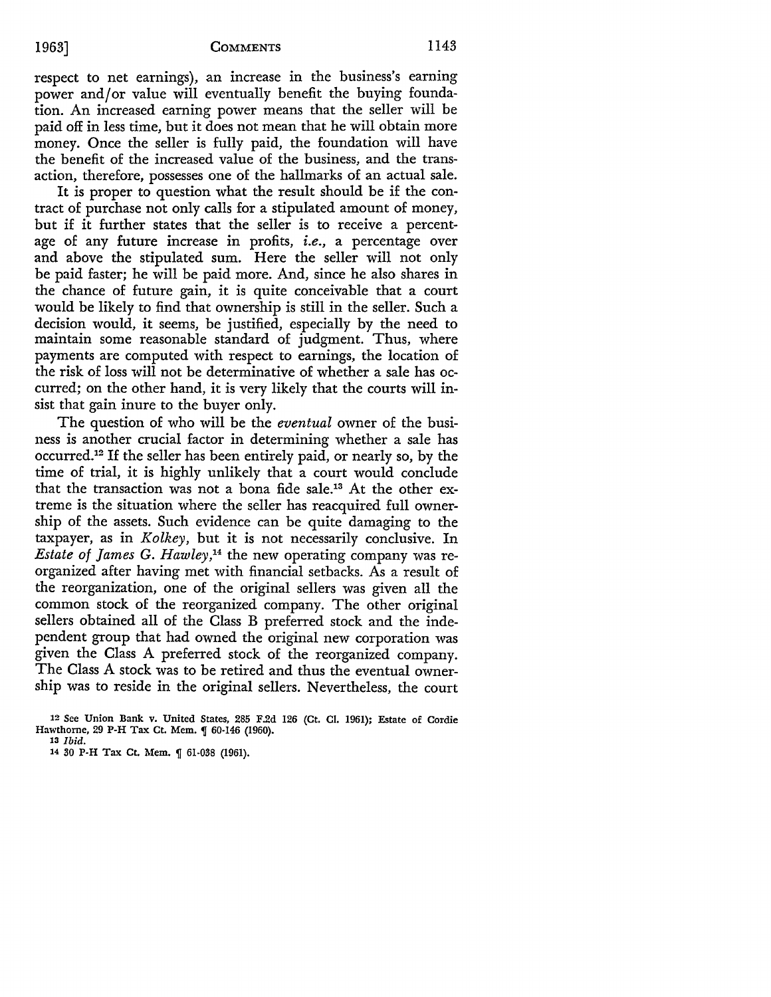respect to net earnings), an increase in the business's earning power and/or value will eventually benefit the buying foundation. An increased earning power means that the seller will be paid off in less time, but it does not mean that he will obtain more money. Once the seller is fully paid, the foundation will have the benefit of the increased value of the business, and the transaction, therefore, possesses one of the hallmarks of an actual sale.

It is proper to question what the result should be if the contract of purchase not only calls for a stipulated amount of money, but if it further states that the seller is to receive a percentage of any future increase in profits, *i.e.,* a percentage over and above the stipulated sum. Here the seller will not only be paid faster; he will be paid more. And, since he also shares in the chance of future gain, it is quite conceivable that a court would be likely to find that ownership is still in the seller. Such a decision would, it seems, be justified, especially by the need to maintain some reasonable standard of judgment. Thus, where payments are computed with respect to earnings, the location of the risk of loss will not be determinative of whether a sale has occurred; on the other hand, it is very likely that the courts will insist that gain inure to the buyer only.

The question of who will be the *eventual* owner of the business is another crucial factor in determining whether a sale has occurred.12 If the seller has been entirely paid, or nearly so, by the time of trial, it is highly unlikely that a court would conclude that the transaction was not a bona fide sale.13 At the other extreme is the situation where the seller has reacquired full ownership of the assets. Such evidence can be quite damaging to the taxpayer, as in *Kolkey,* but it is not necessarily conclusive. In *Estate of James* G. *Hawley, <sup>14</sup>*the new operating company was reorganized after having met with financial setbacks. As a result of the reorganization, one of the original sellers was given all the common stock of the reorganized company. The other original sellers obtained all of the Class B preferred stock and the independent group that had owned the original new corporation was given the Class A preferred stock of the reorganized company. The Class A stock was to be retired and thus the eventual ownership was to reside in the original sellers. Nevertheless, the court

<sup>12</sup> See Union Bank v. United States, 285 F.2d 126 (Ct. Cl. 1961); Estate of Cordie Hawthorne, 29 P-H Tax Ct. Mem.  $\oint$  60-146 (1960).<br><sup>13</sup> *Ibid.* 

<sup>14 30</sup> P-H Tax Ct. Mem. ¶ 61-038 (1961).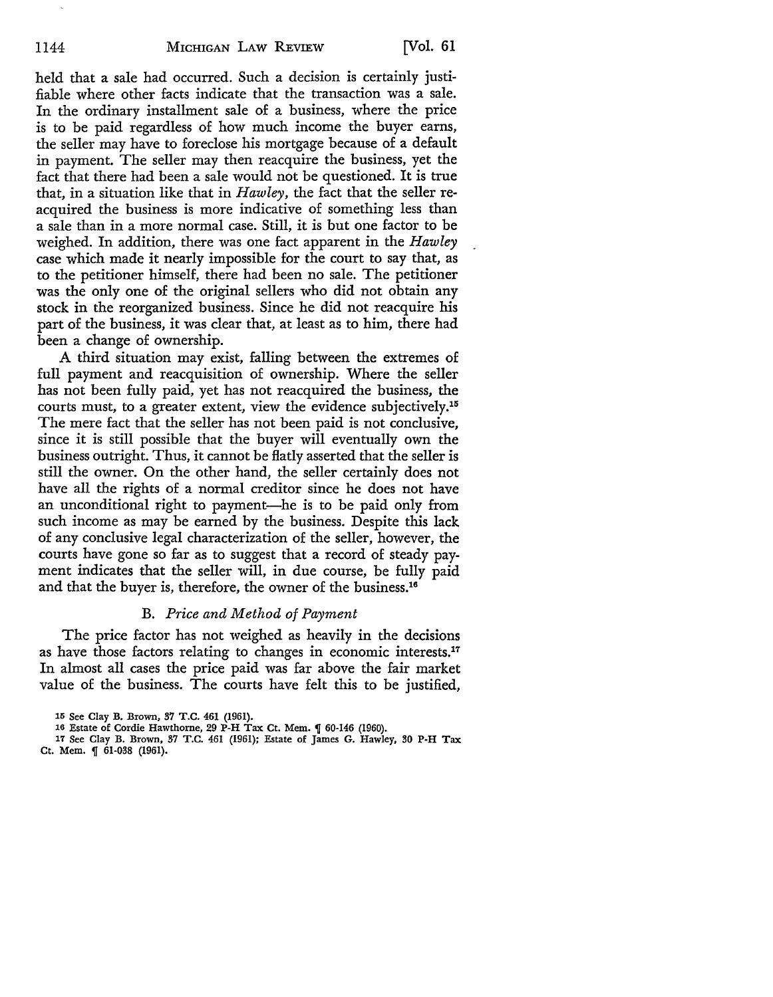held that a sale had occurred. Such a decision is certainly justifiable where other facts indicate that the transaction was a sale. In the ordinary installment sale of a business, where the price is to be paid regardless of how much income the buyer earns, the seller may have to foreclose his mortgage because of a default in payment. The seller may then reacquire the business, yet the fact that there had been a sale would not be questioned. It is true that, in a situation like that in *Hawley,* the fact that the seller reacquired the business is more indicative of something less than a sale than in a more normal case. Still, it is but one factor to be weighed. In addition, there was one fact apparent in the *Hawley*  case which made it nearly impossible for the court to say that, as to the petitioner himself, there had been no sale. The petitioner was the only one of the original sellers who did not obtain any stock in the reorganized business. Since he did not reacquire his part of the business, it was clear that, at least as to him, there had been a change of ownership.

A third situation may exist, falling between the extremes of full payment and reacquisition of ownership. Where the seller has not been fully paid, yet has not reacquired the business, the courts must, to a greater extent, view the evidence subjectively.<sup>15</sup> The mere fact that the seller has not been paid is not conclusive, since it is still possible that the buyer will eventually own the business outright. Thus, it cannot be flatly asserted that the seller is still the owner. On the other hand, the seller certainly does not have all the rights of a normal creditor since he does not have an unconditional right to payment-he is to be paid only from such income as may be earned by the business. Despite this lack of any conclusive legal characterization of the seller, however, the courts have gone so far as to suggest that a record of steady payment indicates that the seller will, in due course, be fully paid and that the buyer is, therefore, the owner of the business.16

#### B. *Price and Method of Payment*

The price factor has not weighed as heavily in the decisions as have those factors relating to changes in economic interests.17 In almost all cases the price paid was far above the fair market value of the business. The courts have felt this to be justified,

<sup>15</sup> See Clay B. Brown, 37 T.C. 461 (1961).

<sup>16</sup> Estate of Cordie Hawthorne, 29 P-H Tax Ct. Mem.  $\oint$  60-146 (1960).

<sup>17</sup> See Clay B. Brown, 37 T.C. 461 (1961); Estate of James G. Hawley, 30 P-H Tax Ct. Mem. ¶ 61-038 (1961).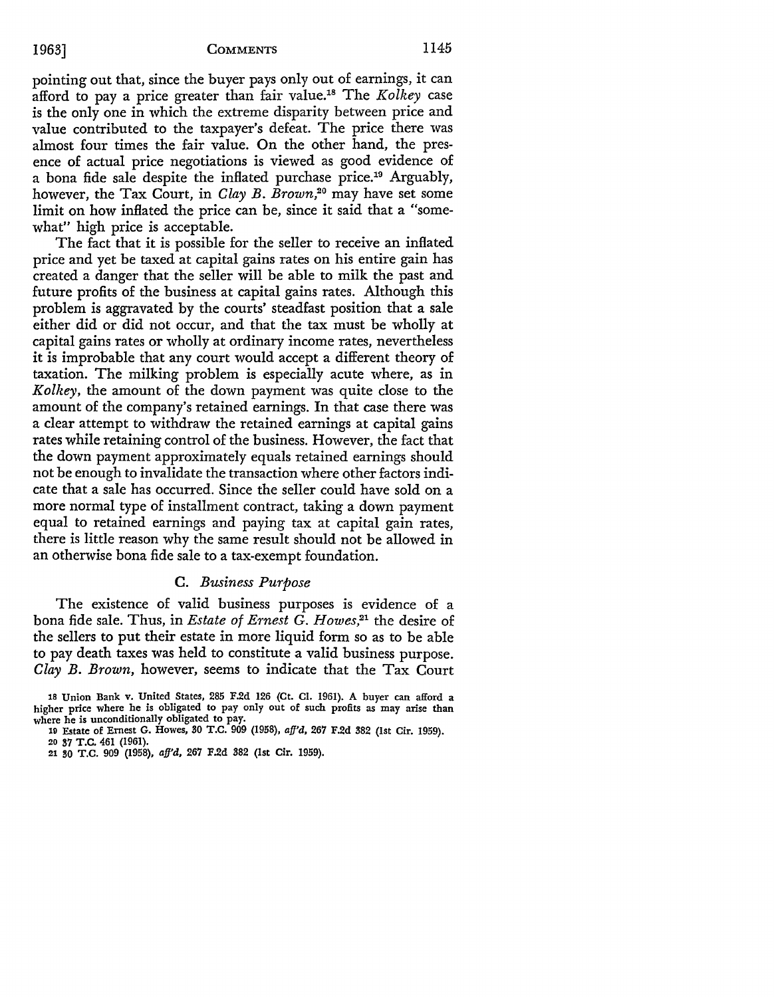pointing out that, since the buyer pays only out of earnings, it can afford to pay a price greater than fair value.18 The *Kolkey* case is the only one in which the extreme disparity between price and value contributed to the taxpayer's defeat. The price there was almost four times the fair value. On the other hand, the presence of actual price negotiations is viewed as good evidence of a bona fide sale despite the inflated purchase price.19 Arguably, however, the Tax Court, in *Clay B. Brown,20* may have set some limit on how inflated the price can be, since it said that a "somewhat" high price is acceptable.

The fact that it is possible for the seller to receive an inflated price and yet be taxed at capital gains rates on his entire gain has created a danger that the seller will be able to milk the past and future profits of the business at capital gains rates. Although this problem is aggravated by the courts' steadfast position that a sale either did or did not occur, and that the tax must be wholly at capital gains rates or wholly at ordinary income rates, nevertheless it is improbable that any court would accept a different theory of taxation. The milking problem is especially acute where, as in *Kolliey,* the amount of the down payment was quite close to the amount of the company's retained earnings. In that case there was a clear attempt to withdraw the retained earnings at capital gains rates while retaining control of the business. However, the fact that the down payment approximately equals retained earnings should not be enough to invalidate the transaction where other factors indicate that a sale has occurred. Since the seller could have sold on a more normal type of installment contract, taking a down payment equal to retained earnings and paying tax at capital gain rates, there is little reason why the same result should not be allowed in an otherwise bona fide sale to a tax-exempt foundation.

#### C. *Business Purpose*

The existence of valid business purposes is evidence of a bona fide sale. Thus, in *Estate of Ernest G. Howes*,<sup>21</sup> the desire of the sellers to put their estate in more liquid form so as to be able to pay death taxes was held to constitute a valid business purpose. *Clay B. Brown,* however, seems to indicate that the Tax Court

<sup>18</sup> Union Bank v. United States, 285 F.2d 126 (Ct. CI. 1961). A buyer can afford a higher price where he is obligated to pay only out of such profits as may arise than where he is unconditionally obligated to pay.

<sup>19</sup> Estate of Ernest G. Howes, 30 T.C. 909 (1958), *afj'd,* 267 F.2d 382 (1st Cir. 1959). 20 37 T.C. 461 (1961).

<sup>21 30</sup> T.C. 909 (1958), *afj'd,* 267 F.2d 382 (1st Cir. 1959).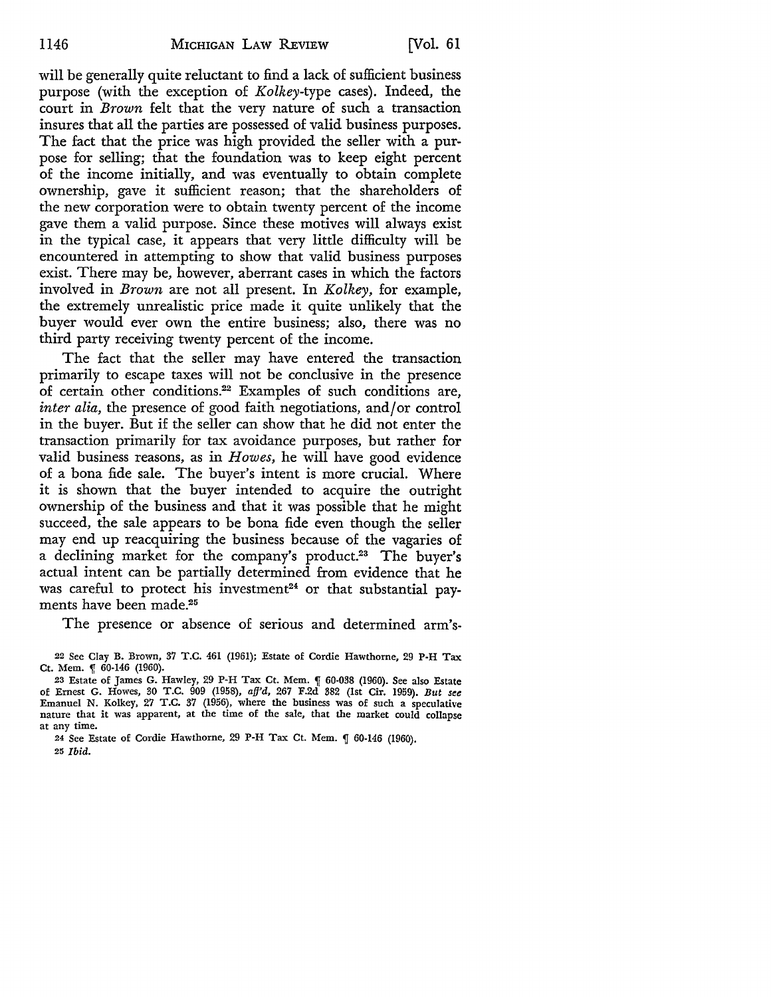will be generally quite reluctant to find a lack of sufficient business purpose (with the exception of *Kolkey-type* cases). Indeed, the court in *Brown* felt that the very nature of such a transaction insures that all the parties are possessed of valid business purposes. The fact that the price was high provided the seller with a purpose for selling; that the foundation was to keep eight percent of the income initially, and was eventually to obtain complete ownership, gave it sufficient reason; that the shareholders of the new corporation were to obtain twenty percent of the income gave them a valid purpose. Since these motives will always exist in the typical case, it appears that very little difficulty will be encountered in attempting to show that valid business purposes exist. There may be, however, aberrant cases in which the factors involved in *Brown* are not all present. In *Kolkey,* for example, the extremely unrealistic price made it quite unlikely that the buyer would ever own the entire business; also, there was no third party receiving twenty percent of the income.

The fact that the seller may have entered the transaction primarily to escape taxes will not be conclusive in the presence of certain other conditions.<sup>22</sup> Examples of such conditions are, *inter alia,* the presence of good faith negotiations, and/or control in the buyer. But if the seller can show that he did not enter the transaction primarily for tax avoidance purposes, but rather for valid business reasons, as in *Howes,* he will have good evidence of a bona fide sale. The buyer's intent is more crucial. Where it is shown that the buyer intended to acquire the outright ownership of the business and that it was possible that he might succeed, the sale appears to be bona fide even though the seller may end up reacquiring the business because of the vagaries of a declining market for the company's product.<sup>23</sup> The buyer's actual intent can be partially determined from evidence that he was careful to protect his investment<sup>24</sup> or that substantial payments have been made.25

The presence or absence of serious and determined arm's-

<sup>22</sup> See Clay B. Brown, 37 T.C. 461 (1961); Estate of Cordie Hawthorne, 29 P·H Tax Ct. Mem. ¶ 60-146 (1960).

<sup>23</sup> Estate of James G. Hawley, 29 P-H Tax Ct. Mem. ¶ 60-038 (1960). See also Estate of Ernest G. Howes, 30 T.C. 909 (1958), *afj'd,* 267 F.2d 382 (1st Cir. 1959). *But see*  Emanuel N. Kolkey, 27 T.C. 37 (1956), where the business was of such a speculative nature that it was apparent, at the time of the sale, that the market could collapse at any time.

<sup>24</sup> See Estate of Cordie Hawthorne, 29 P-H Tax Ct. Mem. ¶ 60-146 (1960). 25 *Ibid.*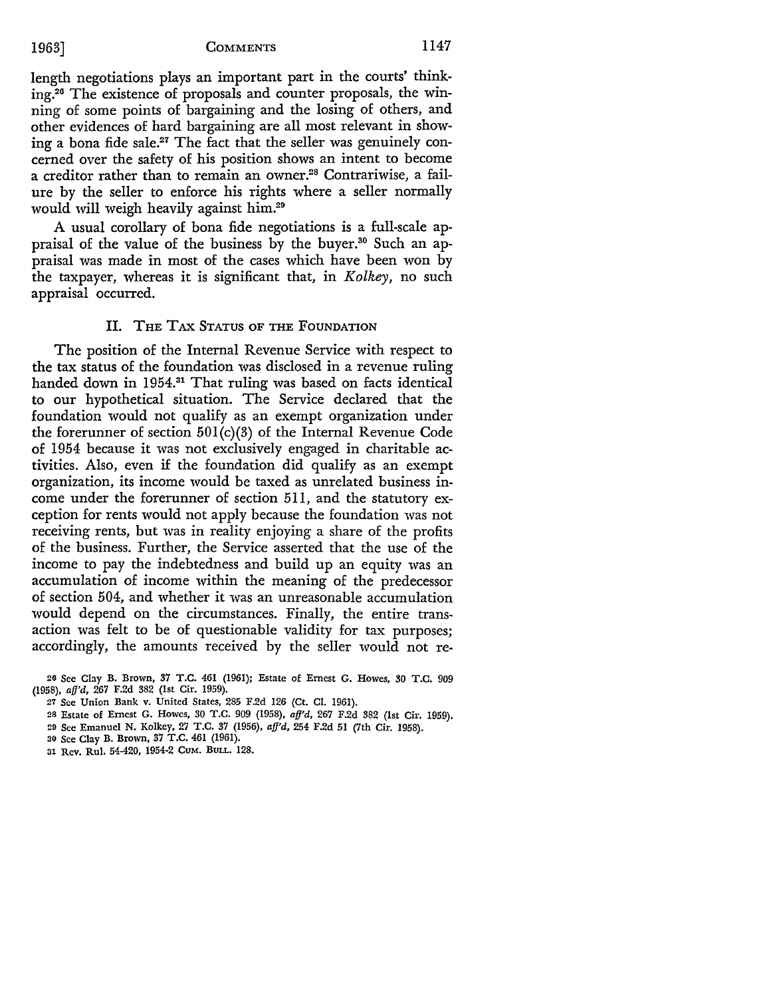length negotiations plays an important part in the courts' thinking.26 The existence of proposals and counter proposals, the winning of some points of bargaining and the losing of others, and other evidences of hard bargaining are all most relevant in showing a bona fide sale.<sup>27</sup> The fact that the seller was genuinely concerned over the safety of his position shows an intent to become a creditor rather than to remain an owner.<sup>28</sup> Contrariwise, a failure by the seller to enforce his rights where a seller normally would will weigh heavily against him.29

A usual corollary of bona fide negotiations is a full-scale appraisal of the value of the business by the buyer.<sup>30</sup> Such an appraisal was made in most of the cases which have been won by the taxpayer, whereas it is significant that, in *Kolkey,* no such appraisal occurred.

#### II. THE TAX STATUS OF THE FOUNDATION

The position of the Internal Revenue Service with respect to the tax status of the foundation was disclosed in a revenue ruling handed down in 1954.<sup>31</sup> That ruling was based on facts identical to our hypothetical situation. The Service declared that the foundation would not qualify as an exempt organization under the forerunner of section  $501(c)(3)$  of the Internal Revenue Code of 1954 because it was not exclusively engaged in charitable activities. Also, even if the foundation did qualify as an exempt organization, its income would be taxed as unrelated business income under the forerunner of section 511, and the statutory exception for rents would not apply because the foundation was not receiving rents, but was in reality enjoying a share of the profits of the business. Further, the Service asserted that the use of the income to pay the indebtedness and build up an equity was an accumulation of income within the meaning of the predecessor of section 504, and whether it was an unreasonable accumulation would depend on the circumstances. Finally, the entire transaction was felt to be of questionable validity for tax purposes; accordingly, the amounts received by the seller would not re-

- 28 Estate of Ernest G. Howes, 30 T.C. 909 (1958), *afj'd,* 267 F.2d 382 (1st Cir. 1959).
- 20 See Emanuel N. Kolkey, 27 T.C. 37 (1956), *afj'd,* 254 F.2d 51 (7th Cir. 1958).
- 30 See Clay B. Brown, 37 T.C. 461 (1961).
- 31 Rev. Rul. 54-420, 1954-2 CuM. BuLL. 128.

<sup>26</sup> See Clay B. Brown, 37 T.C. 461 (1961); Estate of Ernest G. Howes, 30 T.C. 909 (1958), *afj'd,* 267 F.2d 382 (1st Cir. 1959).

<sup>27</sup> See Union Bank v. United States, 285 F.2d 126 (Ct. Cl. 1961).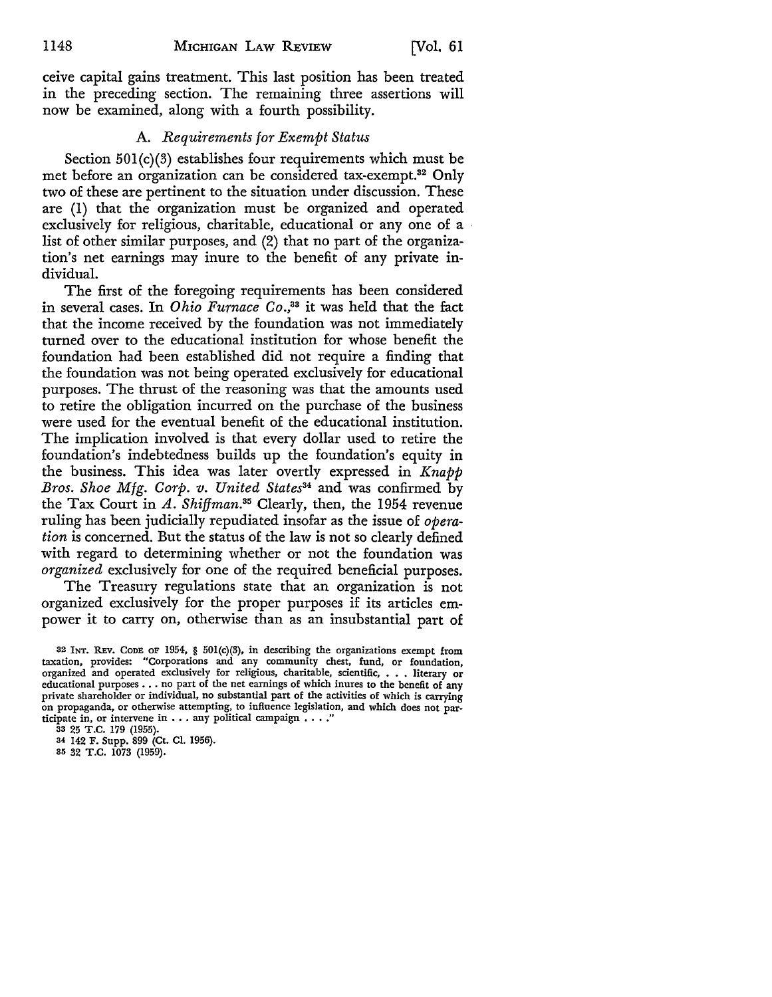ceive capital gains treatment. This last position has been treated in the preceding section. The remaining three assertions will now be examined, along with a fourth possibility.

#### A. *Requirements for Exempt Status*

Section 50l(c)(3) establishes four requirements which must be met before an organization can be considered tax-exempt.32 Only two of these are pertinent to the situation under discussion. These are (I) that the organization must be organized and operated exclusively for religious, charitable, educational or any one of a list of other similar purposes, and (2) that no part of the organization's net earnings may inure to the benefit of any private individual.

The first of the foregoing requirements has been considered in several cases. In *Ohio Furnace* Co.,33 it was held that the fact that the income received by the foundation was not immediately turned over to the educational institution for whose benefit the foundation had been established did not require a finding that the foundation was not being operated exclusively for educational purposes. The thrust of the reasoning was that the amounts used to retire the obligation incurred on the purchase of the business were used for the eventual benefit of the educational institution. The implication involved is that every dollar used to retire the foundation's indebtedness builds up the foundation's equity in the business. This idea was later overtly expressed in *Knapp Bros. Shoe Mfg. Corp. v. United States34* and was confirmed by the Tax Court in A. *Shifjman.35* Clearly, then, the 1954 revenue ruling has been judicially repudiated insofar as the issue of *operation* is concerned. But the status of the law is not so clearly defined with regard to determining whether or not the foundation was *organized* exclusively for one of the required beneficial purposes.

The Treasury regulations state that an organization is not organized exclusively for the proper purposes if its articles empower it to carry on, otherwise than as an insubstantial part of

<sup>32</sup> INT. REv. CODE OF 1954, § 50l(c)(3), in describing the organizations exempt from taxation, provides: "Corporations and any community chest, fund, or foundation, organized and operated exclusively for religious, charitable, scientific, • • • literary or educational purposes •.. no part of the net earnings of which inures to the benefit of any private shareholder or individual, no substantial part of the activities of which is carrying on propaganda, or otherwise attempting, to influence legislation, and which does not par• ticipate in, or intervene in  $\dots$  any political campaign  $\dots$ .

<sup>33 25</sup> T .C. 179 (1955).

<sup>34</sup> 142 F. Supp. 899 (Ct. Cl. 1956).

<sup>35 32</sup> T.C. 1073 (1959).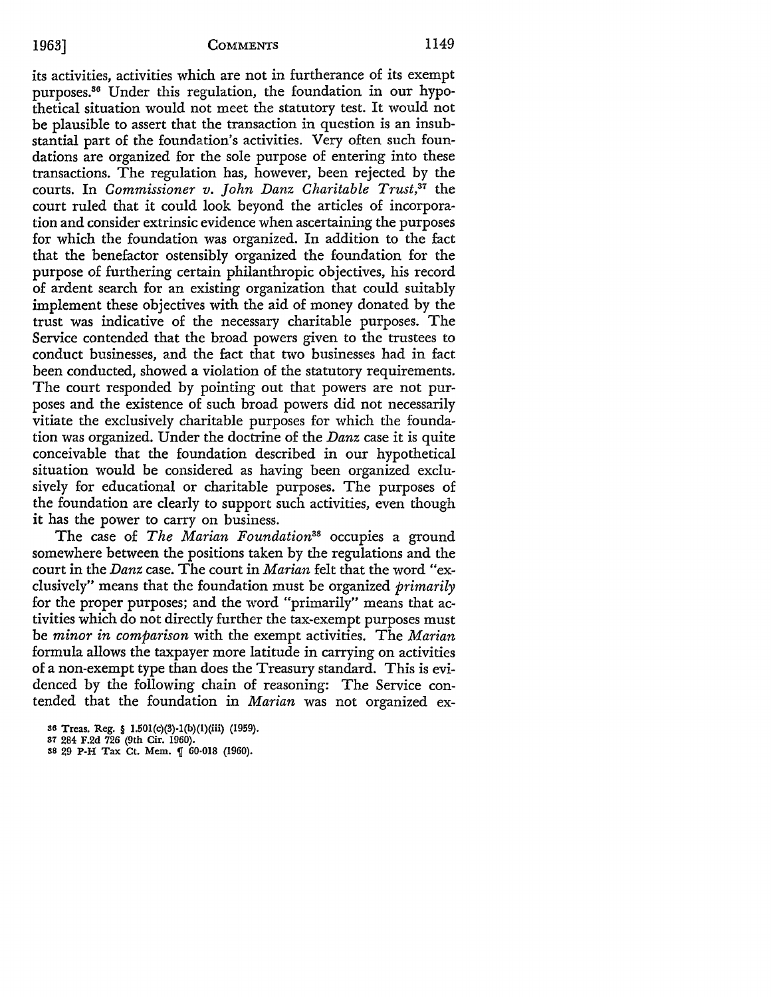its activities, activities which are not in furtherance of its exempt purposes.86 Under this regulation, the foundation in our hypothetical situation would not meet the statutory test. It would not be plausible to assert that the transaction in question is an insubstantial part of the foundation's activities. Very often such foundations are organized for the sole purpose of entering into these transactions. The regulation has, however, been rejected by the courts. In *Commissioner v. John Danz Charitable Trust,37* the court ruled that it could look beyond the articles of incorporation and consider extrinsic evidence when ascertaining the purposes for which the foundation was organized. In addition to the fact that the benefactor ostensibly organized the foundation for the purpose of furthering certain philanthropic objectives, his record of ardent search for an existing organization that could suitably implement these objectives with the aid of money donated by the trust was indicative of the necessary charitable purposes. The Service contended that the broad powers given to the trustees to conduct businesses, and the fact that two businesses had in fact been conducted, showed a violation of the statutory requirements. The court responded by pointing out that powers are not purposes and the existence of such broad powers did not necessarily vitiate the exclusively charitable purposes for which the foundation was organized. Under the doctrine of the *Danz* case it is quite conceivable that the foundation described in our hypothetical situation would be considered as having been organized exclusively for educational or charitable purposes. The purposes of the foundation are clearly to support such activities, even though it has the power to carry on business.

The case of *The Marian Foundation38* occupies a ground somewhere between the positions taken by the regulations and the court in the *Danz* case. The court in *Marian* felt that the word "exclusively" means that the foundation must be organized *primarily*  for the proper purposes; and the word "primarily" means that activities which do not directly further the tax-exempt purposes must be *minor in comparison* with the exempt activities. The *Marian*  formula allows the taxpayer more latitude in carrying on activities of a non-exempt type than does the Treasury standard. This is evidenced by the following chain of reasoning: The Service contended that the foundation in *Marian* was not organized ex-

30 Treas. Reg. § 1.50l(c){3)·1(b)(l)(iii) (1959).

<sup>87 284</sup> F.2d 726 (9th Cir. 1960).

<sup>88 29</sup> P-H Tax Ct. Mem. ¶ 60-018 (1960).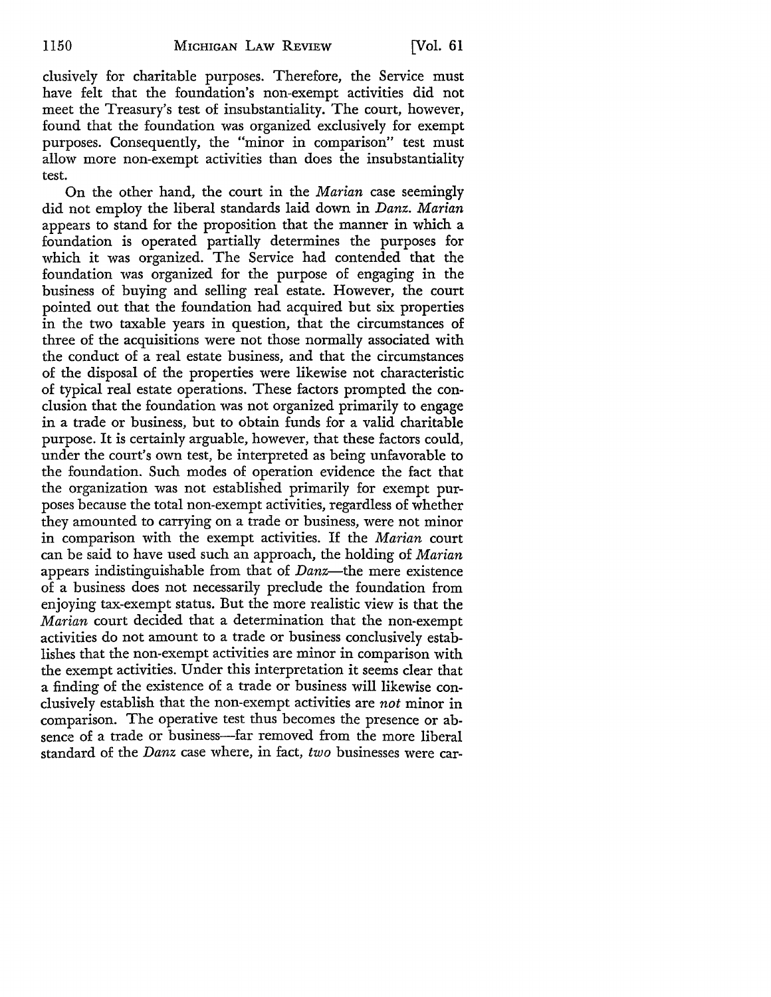elusively for charitable purposes. Therefore, the Service must have felt that the foundation's non-exempt activities did not meet the Treasury's test of insubstantiality. The court, however, found that the foundation was organized exclusively for exempt purposes. Consequently, the "minor in comparison" test must allow more non-exempt activities than does the insubstantiality test.

On the other hand, the court in the *Marian* case seemingly did not employ the liberal standards laid down in *Danz. Marian*  appears to stand for the proposition that the manner in which a foundation is operated partially determines the purposes for which it was organized. The Service had contended that the foundation was organized for the purpose of engaging in the business of buying and selling real estate. However, the court pointed out that the foundation had acquired but six properties in the two taxable years in question, that the circumstances of three of the acquisitions were not those normally associated with the conduct of a real estate business, and that the circumstances of the disposal of the properties were likewise not characteristic of typical real estate operations. These factors prompted the conclusion that the foundation was not organized primarily to engage in a trade or business, but to obtain funds for a valid charitable purpose. It is certainly arguable, however, that these factors could, under the court's own test, be interpreted as being unfavorable to the foundation. Such modes of operation evidence the fact that the organization was not established primarily for exempt purposes because the total non-exempt activities, regardless of whether they amounted to carrying on a trade or business, were not minor in comparison with the exempt activities. If the *Marian* court can be said to have used such an approach, the holding of *Marian*  appears indistinguishable from that of *Danz-the* mere existence of a business does not necessarily preclude the foundation from enjoying tax-exempt status. But the more realistic view is that the *Marian* court decided that a determination that the non-exempt activities do not amount to a trade or business conclusively establishes that the non-exempt activities are minor in comparison with the exempt activities. Under this interpretation it seems clear that a finding of the existence of a trade or business will likewise conclusively establish that the non-exempt activities are *not* minor in comparison. The operative test thus becomes the presence or absence of a trade or business-far removed from the more liberal standard of the *Danz* case where, in fact, *two* businesses were car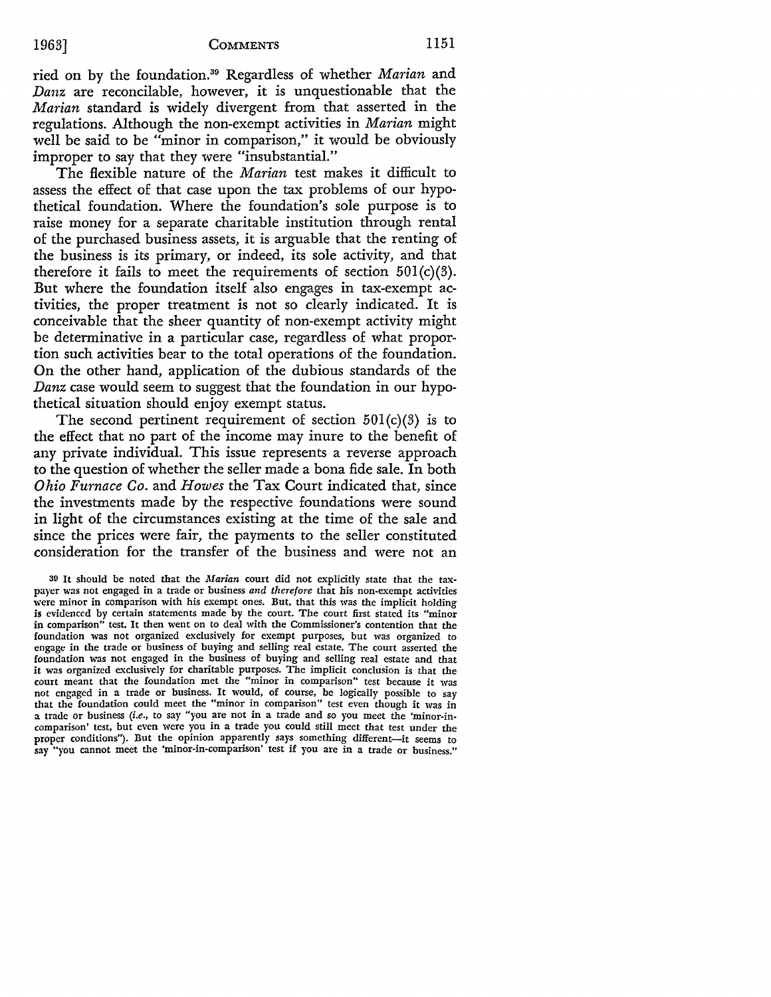ried on by the foundation.39 Regardless of whether *Marian* and *Danz* are reconcilable, however, it is unquestionable that the *Marian* standard is widely divergent from that asserted in the regulations. Although the non-exempt activities in *Marian* might well be said to be "minor in comparison," it would be obviously improper to say that they were "insubstantial."

The flexible nature of the *Marian* test makes it difficult to assess the effect of that case upon the tax problems of our hypothetical foundation. Where the foundation's sole purpose is to raise money for a separate charitable institution through rental of the purchased business assets, it is arguable that the renting of the business is its primary, or indeed, its sole activity, and that therefore it fails to meet the requirements of section  $501(c)(3)$ . But where the foundation itself also engages in tax-exempt activities, the proper treatment is not so clearly indicated. It is conceivable that the sheer quantity of non-exempt activity might be determinative in a particular case, regardless of what proportion such activities bear to the total operations of the foundation. On the other hand, application of the dubious standards of the *Danz* case would seem to suggest that the foundation in our hypothetical situation should enjoy exempt status.

The second pertinent requirement of section  $501(c)(3)$  is to the effect that no part of the income may inure to the benefit of any private individual. This issue represents a reverse approach to the question of whether the seller made a bona fide sale. In both *Ohio Furnace Co.* and *Howes* the Tax Court indicated that, since the investments made by the respective foundations were sound in light of the circumstances existing at the time of the sale and since the prices were fair, the payments to the seller constituted consideration for the transfer of the business and were not an

30 It should be noted that the *l\Iarian* court did not explicitly state that the taxpayer was not engaged in a trade or business *and therefore* that his non-exempt activities were minor in comparison with his exempt ones. But, that this was the implicit holding is evidenced by certain statements made by the court. The court first stated its "minor in comparison" test. It then went on to deal with the Commissioner's contention that the foundation was not organized exclusively for exempt purposes, but was organized to engage in the trade or business of buying and selling real estate. The court asserted the foundation was not engaged in the business of buying and selling real estate and that **it** was organized exclusively for charitable purposes. The implicit conclusion is that the court meant that the foundation met the "minor in comparison" test because it was not engaged in a trade or business. It would, of course, be logically possible to say that the foundation could meet the "minor in comparison" test even though **it** was in a trade or business *(i.e.,* to say "you are not in a trade and so you meet the 'minor-incomparison' test, but even were you in a trade you could still meet that test under the proper conditions"). But the opinion apparently says something different-it seems to say "you cannot meet the 'minor-in-comparison' test if you are in a trade or business.''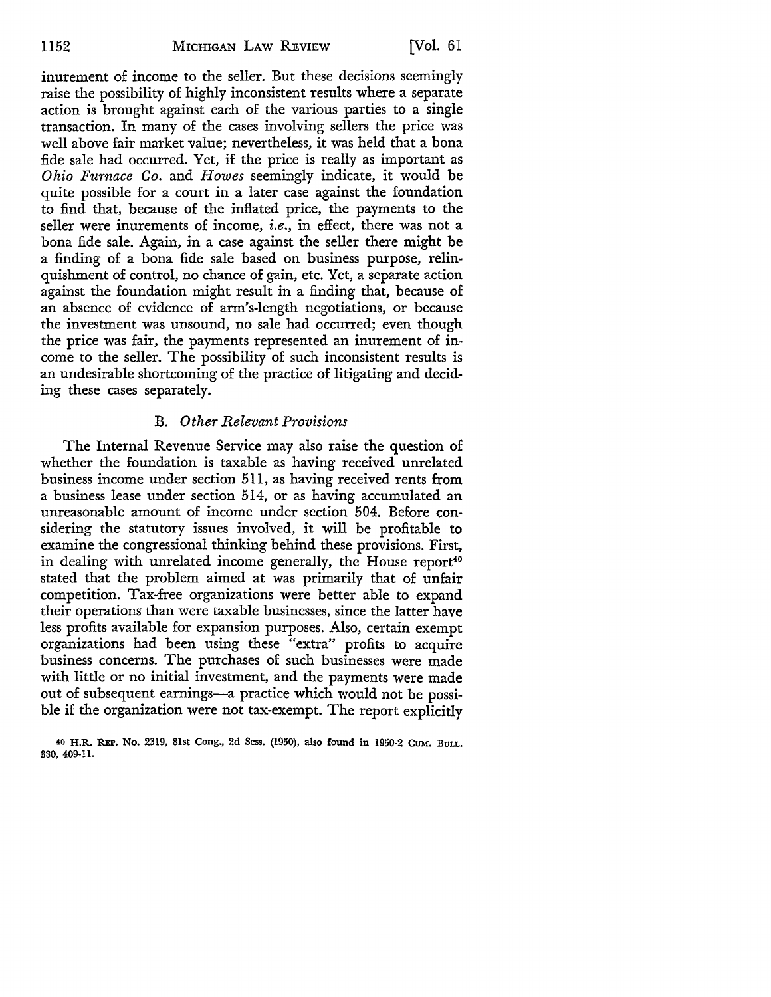inurement of income to the seller. But these decisions seemingly raise the possibility of highly inconsistent results where a separate action is brought against each of the various parties to a single transaction. In many of the cases involving sellers the price was well above fair market value; nevertheless, it was held that a bona fide sale had occurred. Yet, if the price is really as important as *Ohio Furnace Co.* and *Howes* seemingly indicate, it would be quite possible for a court in a later case against the foundation to find that, because of the inflated price, the payments to the seller were inurements of income, *i.e.,* in effect, there was not a bona fide sale. Again, in a case against the seller there might be a finding of a bona fide sale based on business purpose, relinquishment of control, no chance of gain, etc. Yet, a separate action against the foundation might result in a finding that, because of an absence of evidence of arm's-length negotiations, or because the investment was unsound, no sale had occurred; even though the price was fair, the payments represented an inurement of income to the seller. The possibility of such inconsistent results is an undesirable shortcoming of the practice of litigating and deciding these cases separately.

#### B. *Other Relevant Provisions*

The Internal Revenue Service may also raise the question of whether the foundation is taxable as having received unrelated business income under section 511, as having received rents from a business lease under section 514, or as having accumulated an unreasonable amount of income under section 504. Before considering the statutory issues involved, it will be profitable to examine the congressional thinking behind these provisions. First, in dealing with unrelated income generally, the House report<sup>10</sup> stated that the problem aimed at was primarily that of unfair competition. Tax-free organizations were better able to expand their operations than were taxable businesses, since the latter have less profits available for expansion purposes. Also, certain exempt organizations had been using these "extra" profits to acquire business concerns. The purchases of such businesses were made with little or no initial investment, and the payments were made out of subsequent earnings-a practice which would not be possible if the organization were not tax-exempt. The report explicitly

<sup>40</sup> H.R. REP. No. 2319, 81st Cong., 2d Sess. (1950), also found in 1950-2 CuM. BULL. 380, 409-11.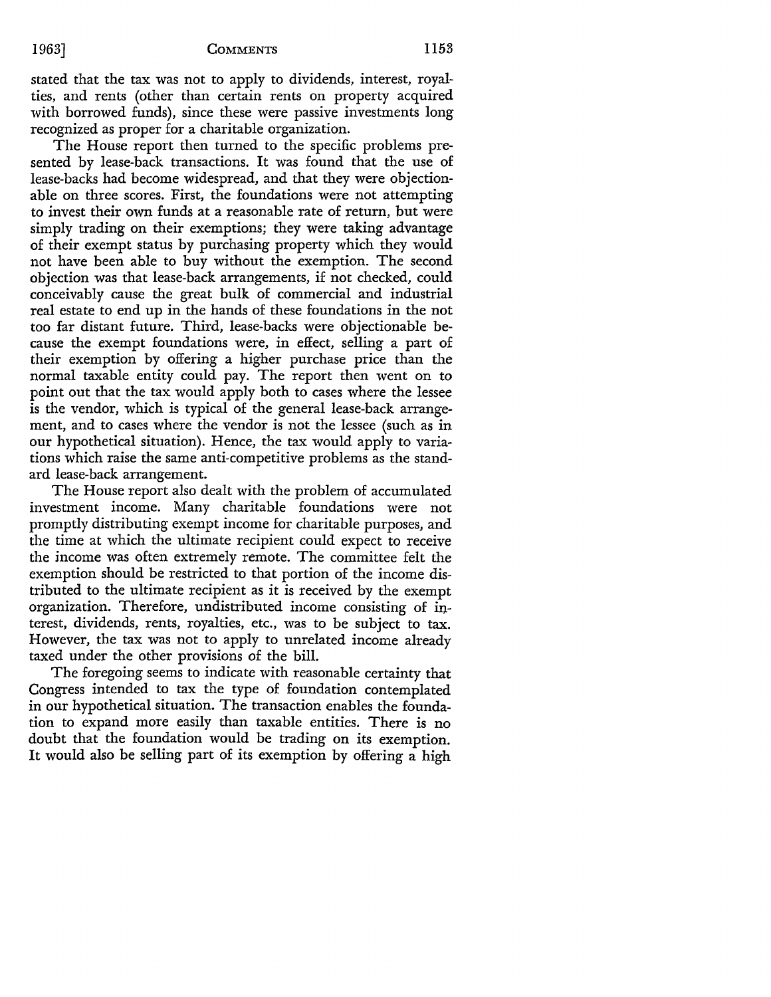stated that the tax was not to apply to dividends, interest, royalties, and rents ( other than certain rents on property acquired with borrowed funds), since these were passive investments long recognized as proper for a charitable organization.

The House report then turned to the specific problems presented by lease-back transactions. It was found that the use of lease-backs had become widespread, and that they were objectionable on three scores. First, the foundations were not attempting to invest their own funds at a reasonable rate of return, but were simply trading on their exemptions; they were taking advantage of their exempt status by purchasing property which they would not have been able to buy without the exemption. The second objection was that lease-back arrangements, if not checked, could conceivably cause the great bulk of commercial and industrial real estate to end up in the hands of these foundations in the not too far distant future. Third, lease-backs were objectionable because the exempt foundations were, in effect, selling a part of their exemption by offering a higher purchase price than the normal taxable entity could pay. The report then went on to point out that the tax would apply both to cases where the lessee is the vendor, which is typical of the general lease-back arrangement, and to cases where the vendor is not the lessee (such as in our hypothetical situation). Hence, the tax would apply to variations which raise the same anti-competitive problems as the standard lease-back arrangement.

The House report also dealt with the problem of accumulated investment income. Many charitable foundations were not promptly distributing exempt income for charitable purposes, and the time at which the ultimate recipient could expect to receive the income was often extremely remote. The committee felt the exemption should be restricted to that portion of the income distributed to the ultimate recipient as it is received by the exempt organization. Therefore, undistributed income consisting of interest, dividends, rents, royalties, etc., was to be subject to tax. However, the tax was not to apply to unrelated income already taxed under the other provisions of the bill.

The foregoing seems to indicate with reasonable certainty that Congress intended to tax the type of foundation contemplated in our hypothetical situation. The transaction enables the foundation to expand more easily than taxable entities. There is no doubt that the foundation would be trading on its exemption. It would also be selling part of its exemption by offering a high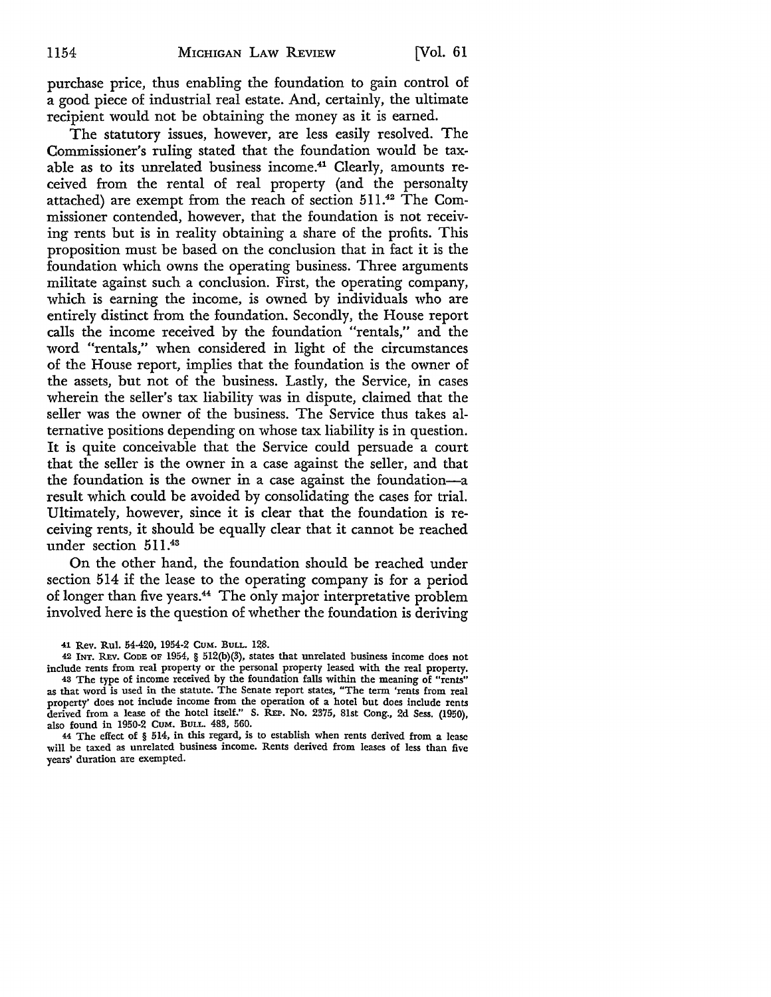purchase price, thus enabling the foundation to gain control of a good piece of industrial real estate. And, certainly, the ultimate recipient would not be obtaining the money as it is earned.

The statutory issues, however, are less easily resolved. The Commissioner's ruling stated that the foundation would be taxable as to its unrelated business income.<sup>41</sup> Clearly, amounts received from the rental of real property (and the personalty attached) are exempt from the reach of section 511.42 The Commissioner contended, however, that the foundation is not receiving rents but is in reality obtaining a share of the profits. This proposition must be based on the conclusion that in fact it is the foundation which owns the operating business. Three arguments militate against such a conclusion. First, the operating company, which is earning the income, is owned by individuals who are entirely distinct from the foundation. Secondly, the House report calls the income received by the foundation "rentals," and the word "rentals," when considered in light of the circumstances of the House report, implies that the foundation is the owner of the assets, but not of the business. Lastly, the Service, in cases wherein the seller's tax liability was in dispute, claimed that the seller was the owner of the business. The Service thus takes alternative positions depending on whose tax liability is in question. It is quite conceivable that the Service could persuade a court that the seller is the owner in a case against the seller, and that the foundation is the owner in a case against the foundation-a result which could be avoided by consolidating the cases for trial. Ultimately, however, since it is clear that the foundation is receiving rents, it should be equally clear that it cannot be reached under section 511.43

On the other hand, the foundation should be reached under section 514 if the lease to the operating company is for a period of longer than five years.<sup>44</sup> The only major interpretative problem involved here is the question of whether the foundation is deriving

43 The type of income received by the foundation falls within the meaning of "rents" as that word is used in the statute. The Senate report states, "The term 'rents from real property' does not include income from the operation of a hotel but does include rents derived from a lease of the hotel itself." S. REP. No. 2375, 81st Cong., 2d Sess. (1950), also found in 1950-2 CUM. BULL. 483, 560.

44 The effect of § 514, in this regard, is to establish when rents derived from a lease will be taxed as unrelated business income. Rents derived from leases of less than five years' duration are exempted.

<sup>41</sup> Rev. Rul. 54-420, 1954-2 CuM. BuLL. 128.

<sup>42</sup> INT. REv. CoDE OF 1954, § 512(b)(3), states that unrelated business income does not include rents from real property or the personal property leased with the real property.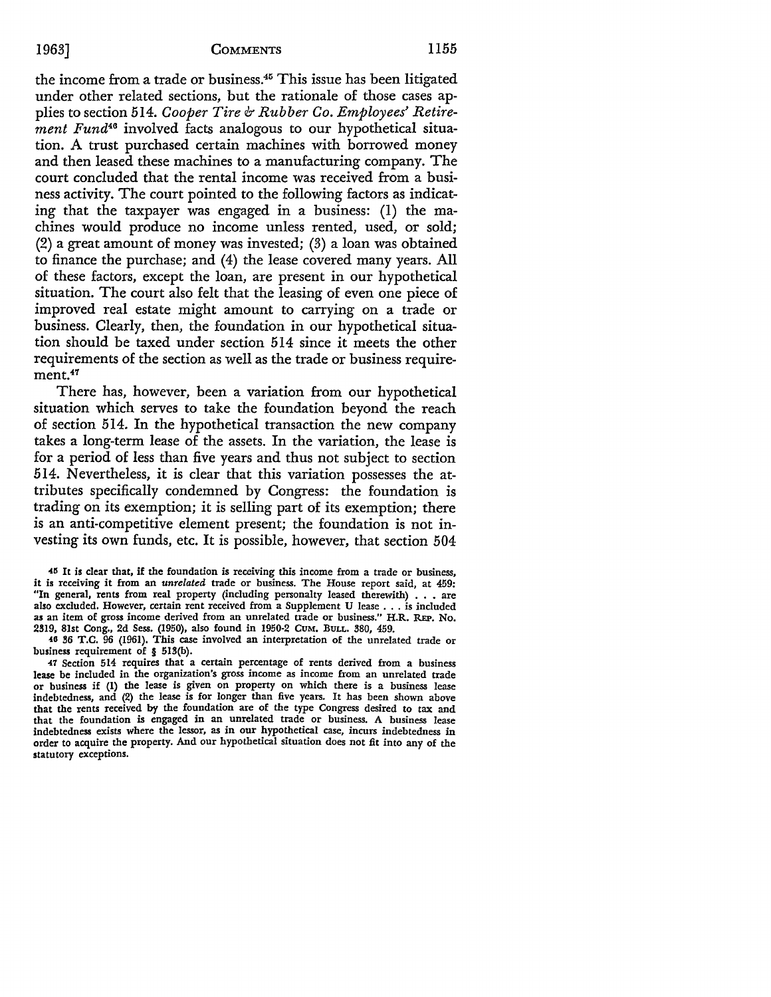the income from a trade or business.45 This issue has been litigated under other related sections, but the rationale of those cases applies to section 514. *Cooper Tire & Rubber Co. Employees' Retirement Fund46* involved facts analogous to our hypothetical situation. A trust purchased certain machines with borrowed money and then leased these machines to a manufacturing company. The court concluded that the rental income was received from a business activity. The court pointed to the following factors as indicating that the taxpayer was engaged in a business: (I) the machines would produce no income unless rented, used, or sold; (2) a great amount of money was invested; (3) a loan was obtained to finance the purchase; and (4) the lease covered many years. All of these factors, except the loan, are present in our hypothetical situation. The court also felt that the leasing of even one piece of improved real estate might amount to carrying on a trade or business. Clearly, then, the foundation in our hypothetical situation should be taxed under section 514 since it meets the other requirements of the section as well as the trade or business requirement.<sup>47</sup>

There has, however, been a variation from our hypothetical situation which serves to take the foundation beyond the reach of section 514. In the hypothetical transaction the new company takes a long-term lease of the assets. In the variation, the lease is for a period of less than five years and thus not subject to section 514. Nevertheless, it is clear that this variation possesses the attributes specifically condemned by Congress: the foundation is trading on its exemption; it is selling part of its exemption; there is an anti-competitive element present; the foundation is not investing its own funds, etc. It is possible, however, that section 504

45 It is clear that, if the foundation is receiving this income from a trade or business, it is receiving it from an *unrelated* trade or business. The House report said, at 459: "In general, rents from real property (including personalty leased therewith) . . . are also excluded. However, certain rent received from a Supplement U lease . . . is included as an item of gross income derived from an unrelated trade or business." H.R. REP. No. 2319, 81st Cong., 2d Sess. (1950), also found in 1950-2 Cum. BuLL. 380, 459.

46 36 T.C. 96 (1961). This case involved an interpretation of the unrelated trade or business requirement of § 513(b).

47 Section 514 requires that a certain percentage of rents derived from a business lease be included in the organization's gross income as income from an unrelated trade or business if (I) the lease is given on property on which there is a business lease indebtedness, and (2) the lease is for longer than five years. It has been shown above that the rents received by the foundation are of the type Congress desired to tax and that the foundation is engaged in an unrelated trade or business. A business lease indebtedness exists where the lessor, as in our hypothetical case, incurs indebtedness in order to acquire the property. And our hypothetical situation does not fit into any of the statutory exceptions.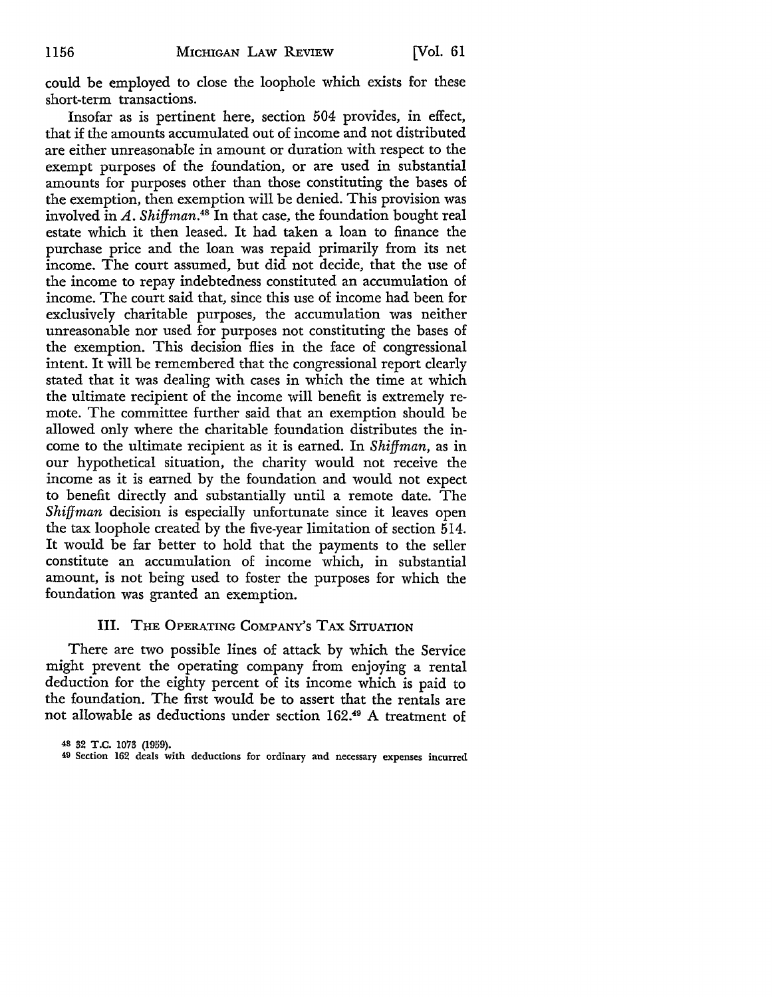could be employed to close the loophole which exists for these short-term transactions.

Insofar as is pertinent here, section 504 provides, in effect, that if the amounts accumulated out of income and not distributed are either unreasonable in amount or duration with respect to the exempt purposes of the foundation, or are used in substantial amounts for purposes other than those constituting the bases of the exemption, then exemption will be denied. This provision was involved in *A. Shiffman.*48 In that case, the foundation bought real estate which it then leased. It had taken a loan to finance the purchase price and the loan was repaid primarily from its net income. The court assumed, but did not decide, that the use of the income to repay indebtedness constituted an accumulation of income. The court said that, since this use of income had been for exclusively charitable purposes, the accumulation was neither unreasonable nor used for purposes not constituting the bases of the exemption. This decision flies in the face of congressional intent. It will be remembered that the congressional report clearly stated that it was dealing with cases in which the time at which the ultimate recipient of the income will benefit is extremely remote. The committee further said that an exemption should be allowed only where the charitable foundation distributes the income to the ultimate recipient as it is earned. In *Shiffman,* as in our hypothetical situation, the charity would not receive the income as it is earned by the foundation and would not expect to benefit directly and substantially until a remote date. The *Shiffman* decision is especially unfortunate since it leaves open the tax loophole created by the five-year limitation of section 514. It would be far better to hold that the payments to the seller constitute an accumulation of income which, in substantial amount, is not being used to foster the purposes for which the foundation was granted an exemption.

#### III. THE OPERATING COMPANY'S TAX SITUATION

There are two possible lines of attack by which the Service might prevent the operating company from enjoying a rental deduction for the eighty percent of its income which is paid to the foundation. The first would be to assert that the rentals are not allowable as deductions under section 162.49 A treatment of

<sup>48 32</sup> T.C. 1073 (1959).

<sup>49</sup> Section 162 deals with deductions for ordinary and necessary expenses incurred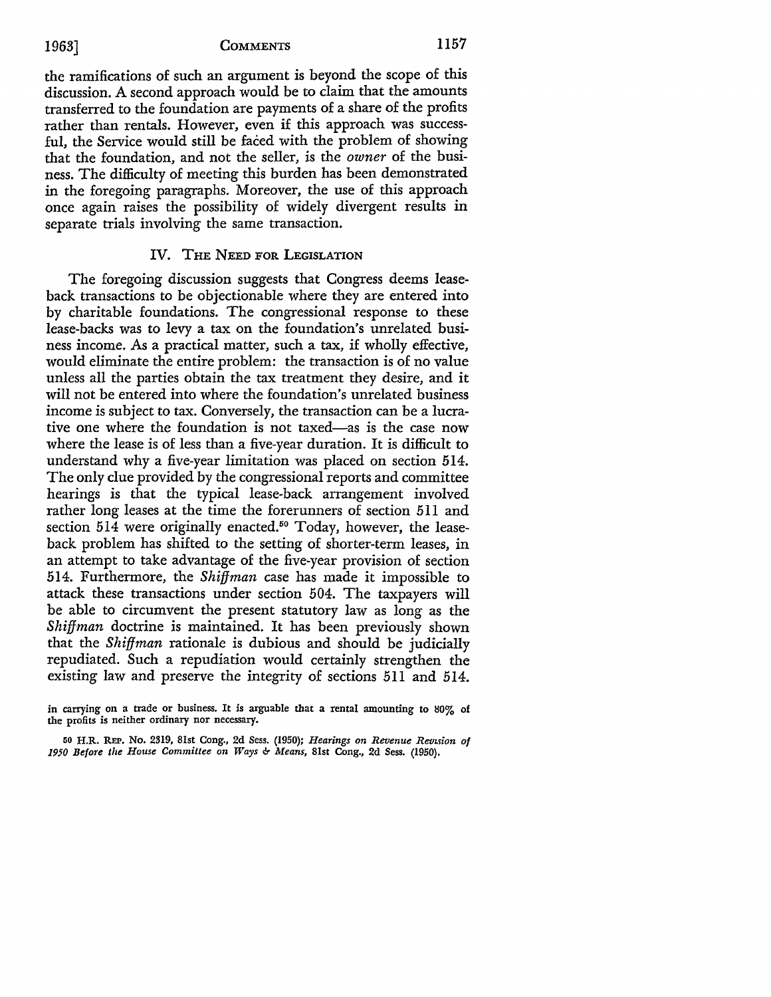the ramifications of such an argument is beyond the scope of this discussion. A second approach would be to claim that the amounts transferred to the foundation are payments of a share of the profits rather than rentals. However, even if this approach was successful, the Service would still be faced with the problem of showing that the foundation, and not the seller, is the *owner* of the business. The difficulty of meeting this burden has been demonstrated in the foregoing paragraphs. Moreover, the use of this approach once again raises the possibility of widely divergent results in separate trials involving the same transaction.

#### IV. THE NEED FOR LEGISLATION

The foregoing discussion suggests that Congress deems leaseback transactions to be objectionable where they are entered into by charitable foundations. The congressional response to these lease-backs was to levy a tax on the foundation's unrelated business income. As a practical matter, such a tax, if wholly effective, would eliminate the entire problem: the transaction is of no value unless all the parties obtain the tax treatment they desire, and it will not be entered into where the foundation's unrelated business income is subject to tax. Conversely, the transaction can be a lucrative one where the foundation is not taxed-as is the case now where the lease is of less than a five-year duration. It is difficult to understand why a five-year limitation was placed on section 514. The only clue provided by the congressional reports and committee hearings is that the typical lease-back arrangement involved rather long leases at the time the forerunners of section 511 and section 514 were originally enacted.<sup>50</sup> Today, however, the leaseback problem has shifted to the setting of shorter-term leases, in an attempt to take advantage of the five-year provision of section 514. Furthermore, the *Shifjman* case has made it impossible to attack these transactions under section 504. The taxpayers will be able to circumvent the present statutory law as long as the *Shifjman* doctrine is maintained. It has been previously shown that the *Shifjman* rationale is dubious and should be judicially repudiated. Such a repudiation would certainly strengthen the existing law and preserve the integrity of sections 511 and 514.

in carrying on a trade or business. It is arguable that a rental amounting to 80% of the profits is neither ordinary nor necessary.

50 H.R. REP. No. 2319, 81st Cong., 2d Sess. (1950); *Hearings on Revenue Revision of 1950 Before the House Committee on Ways & Means,* 81st Cong., 2d Sess. (1950).